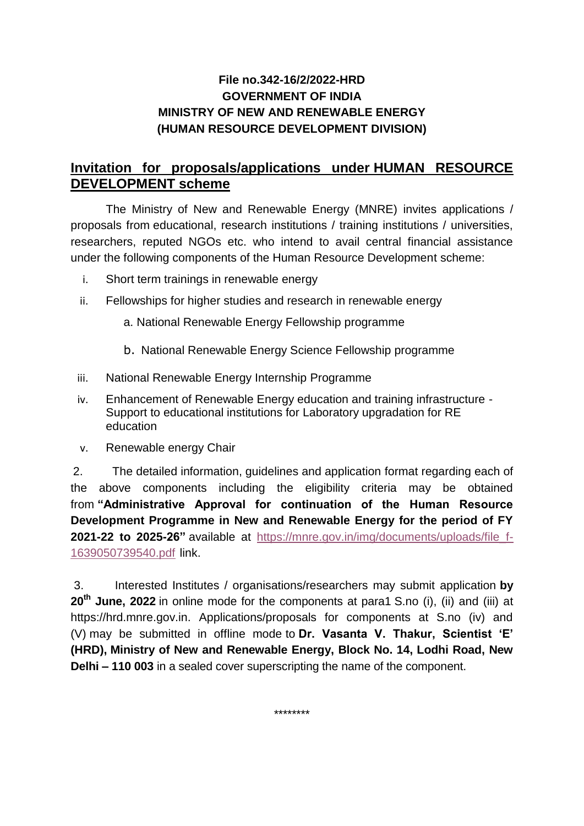## **File no.342-16/2/2022-HRD GOVERNMENT OF INDIA MINISTRY OF NEW AND RENEWABLE ENERGY (HUMAN RESOURCE DEVELOPMENT DIVISION)**

## **Invitation for proposals/applications under HUMAN RESOURCE DEVELOPMENT scheme**

The Ministry of New and Renewable Energy (MNRE) invites applications / proposals from educational, research institutions / training institutions / universities, researchers, reputed NGOs etc. who intend to avail central financial assistance under the following components of the Human Resource Development scheme:

- i. Short term trainings in renewable energy
- ii. Fellowships for higher studies and research in renewable energy
	- a. National Renewable Energy Fellowship programme
	- b. National Renewable Energy Science Fellowship programme
- iii. National Renewable Energy Internship Programme
- iv. Enhancement of Renewable Energy education and training infrastructure Support to educational institutions for Laboratory upgradation for RE education
- v. Renewable energy Chair

2. The detailed information, guidelines and application format regarding each of the above components including the eligibility criteria may be obtained from **"Administrative Approval for continuation of the Human Resource Development Programme in New and Renewable Energy for the period of FY 2021-22 to 2025-26"** available at [https://mnre.gov.in/img/documents/uploads/file\\_f-](https://mnre.gov.in/img/documents/uploads/file_f-1639050739540.pdf)[1639050739540.pdf](https://mnre.gov.in/img/documents/uploads/file_f-1639050739540.pdf) link.

3. Interested Institutes / organisations/researchers may submit application **by 20th June, 2022** in online mode for the components at para1 S.no (i), (ii) and (iii) at https://hrd.mnre.gov.in. Applications/proposals for components at S.no (iv) and (V) may be submitted in offline mode to **Dr. Vasanta V. Thakur, Scientist 'E' (HRD), Ministry of New and Renewable Energy, Block No. 14, Lodhi Road, New Delhi – 110 003** in a sealed cover superscripting the name of the component.

\*\*\*\*\*\*\*\*